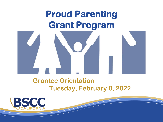# **Proud Parenting Grant Program**



#### **Grantee Orientation Tuesday, February 8, 2022**

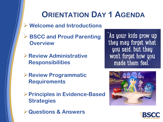## **ORIENTATION DAY 1 AGENDA**

- ➢ **Welcome and Introductions**
- ➢ **BSCC and Proud Parenting Overview**
- ➢**Review Administrative Responsibilities**
- ➢**Review Programmatic Requirements**
- ➢**Principles in Evidence-Based Strategies**
- ➢**Questions & Answers**

As your kids grow up they may forget what you said, but they won't forget how you made them feel.



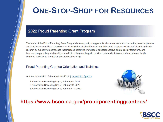## **ONE-STOP-SHOP FOR RESOURCES**

#### 2022 Proud Parenting Grant Program

The intent of the Proud Parenting Grant Program is to support young parents who are or were involved in the juvenile systems and/or who are considered crossover youth within the child welfare system. This grant program assists participants and their children by supporting approaches that increase parenting knowledge, supports positive parent-child interactions, and improves co-parenting relationships. In addition, the grant helps to provide community linkages and encourages family centered activities to strengthen generational bonding.

#### Proud Parenting Grantee Orientation and Trainings

Grantee Orientation: February 8-10, 2022 | Orientation Agenda

- 1. Orientation Recording Day 1, February 8, 2022
- 2. Orientation Recording Day 2, February 9, 2022
- 3. Orientation Recording Day 3, February 10, 2022



#### **https://www.bscc.ca.gov/proudparentinggrantees/**

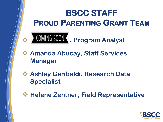# **BSCC STAFF PROUD PARENTING GRANT TEAM**



- ❖ **Amanda Abucay, Staff Services Manager**
- ❖ **Ashley Garibaldi, Research Data Specialist**
- ❖ **Helene Zentner, Field Representative**

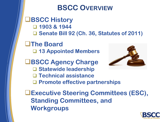### **BSCC OVERVIEW**

❑**BSCC History** ❑ **1903 & 1944** ❑ **Senate Bill 92 (Ch. 36, Statutes of 2011)** 

❑**The Board** ❑ **13 Appointed Members**

❑**BSCC Agency Charge**  ❑ **Statewide leadership** ❑ **Technical assistance** ❑ **Promote effective partnerships**



❑**Executive Steering Committees (ESC), Standing Committees, and Workgroups**

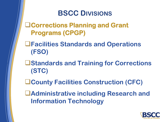### **BSCC DIVISIONS**

❑**Corrections Planning and Grant Programs (CPGP)**

❑**Facilities Standards and Operations (FSO)**

- ❑**Standards and Training for Corrections (STC)**
- ❑**County Facilities Construction (CFC)**
- ❑**Administrative including Research and Information Technology**

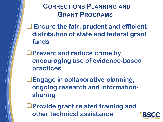#### **CORRECTIONS PLANNING AND GRANT PROGRAMS**

❑ **Ensure the fair, prudent and efficient distribution of state and federal grant funds**

❑**Prevent and reduce crime by encouraging use of evidence-based practices**

❑**Engage in collaborative planning, ongoing research and informationsharing**

❑**Provide grant related training and other technical assistance**

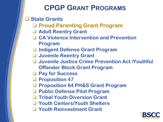### **CPGP GRANT PROGRAMS**

❑ **State Grants**

- ❑ **Proud Parenting Grant Program**
- ❑ **Adult Reentry Grant**
- ❑ **CA Violence Intervention and Prevention** 
	- **Program**
- ❑ **Indigent Defense Grant Program**
- ❑ **Juvenile Reentry Grant**
- ❑ **Juvenile Justice Crime Prevention Act /Youthful Offender Block Grant Program**
- ❑ **Pay for Success**
- ❑ **Proposition 47**
- ❑ **Proposition 64 PH&S Grant Program**
- ❑ **Public Defense Pilot Program**
- ❑ **Tribal Youth Diversion Grant**
- ❑ **Youth Centers/Youth Shelters**
- ❑ **Youth Reinvestment Grant**

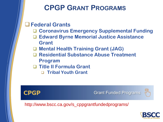### **CPGP GRANT PROGRAMS**

#### ❑**Federal Grants**

- ❑ **Coronavirus Emergency Supplemental Funding**
- ❑ **Edward Byrne Memorial Justice Assistance Grant**
- ❑ **Mental Health Training Grant (JAG)**
- ❑ **Residential Substance Abuse Treatment Program**
- ❑ **Title II Formula Grant**
	- ❑ **Tribal Youth Grant**



**Grant Funded Programs** 



http://www.bscc.ca.gov/s\_cppgrantfundedprograms/

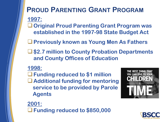# **PROUD PARENTING GRANT PROGRAM**

**1997:**

❑**Original Proud Parenting Grant Program was established in the 1997-98 State Budget Act**

❑**Previously known as Young Men As Fathers**

❑**\$2.7 million to County Probation Departments and County Offices of Education**

#### **1998:**

❑**Funding reduced to \$1 million**  ❑**Additional funding for mentoring service to be provided by Parole Agents**



**2001:** ❑**Funding reduced to \$850,000**

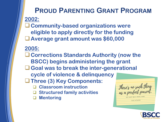#### **PROUD PARENTING GRANT PROGRAM 2002:**

❑**Community-based organizations were eligible to apply directly for the funding** ❑**Average grant amount was \$60,000**

**2005:**

❑**Corrections Standards Authority (now the BSCC) begins administering the grant**

❑**Goal was to break the inter-generational** 

**cycle of violence & delinquency**

❑**Three (3) Key Components:**

- ❑ **Classroom instruction**
- ❑ **Structured family activities**
- ❑ **Mentoring**

There's no such thing<br>as a perfect parent. SO JUST BE A REAL ON **SUE ATKINS** 

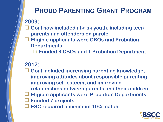### **PROUD PARENTING GRANT PROGRAM**

**2009:**

- ❑ **Goal now included at-risk youth, including teen parents and offenders on parole**
- ❑ **Eligible applicants were CBOs and Probation Departments**
	- ❑ **Funded 8 CBOs and 1 Probation Department**

#### **2012:**

- ❑ **Goal included increasing parenting knowledge, improving attitudes about responsible parenting, improving self-esteem, and improving relationships between parents and their children** ❑ **Eligible applicants were Probation Departments**
- ❑ **Funded 7 projects**
- ❑ **ESC required a minimum 10% match**

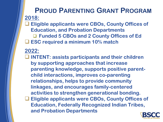#### **PROUD PARENTING GRANT PROGRAM 2018:**

❑ **Eligible applicants were CBOs, County Offices of Education, and Probation Departments** ❑ **Funded 5 CBOs and 2 County Offices of Ed** ❑ **ESC required a minimum 10% match**

#### **2022:**

❑ **INTENT: assists participants and their children by supporting approaches that increase parenting knowledge, supports positive parentchild interactions, improves co-parenting relationships, helps to provide community linkages, and encourages family-centered activities to strengthen generational bonding.** ❑ **Eligible applicants were CBOs, County Offices of Education, Federally Recognized Indian Tribes, and Probation Departments**

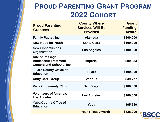### **PROUD PARENTING GRANT PROGRAM 2022 COHORT**

| <b>Proud Parenting</b><br><b>Grantees</b>                                                 | <b>County Where</b><br><b>Services Will Be</b><br><b>Provided</b> | <b>Grant</b><br><b>Funding</b><br><b>Award</b> |
|-------------------------------------------------------------------------------------------|-------------------------------------------------------------------|------------------------------------------------|
| <b>Family Paths', Inc.</b>                                                                | <b>Alameda</b>                                                    | \$100,000                                      |
| <b>New Hope for Youth</b>                                                                 | <b>Santa Clara</b>                                                | \$100,000                                      |
| <b>New Opportunities</b><br>Organization                                                  | <b>Los Angeles</b>                                                | \$100,000                                      |
| <b>Rite of Passage</b><br><b>Adolescent Treatment</b><br><b>Centers and Schools, Inc.</b> | <b>Imperial</b>                                                   | \$99,983                                       |
| <b>Tulare County Office of</b><br><b>Education</b>                                        | <b>Tulare</b>                                                     | \$100,000                                      |
| <b>Unity Care Group</b>                                                                   | <b>Various</b>                                                    | \$39,777                                       |
| <b>Vista Community Clinic</b>                                                             | <b>San Diego</b>                                                  | \$100,000                                      |
| <b>Volunteers of America,</b><br><b>Los Angeles</b>                                       | <b>Los Angeles</b>                                                | \$100,000                                      |
| <b>Yuba County Office of</b><br><b>Education</b>                                          | Yuba                                                              | \$95,240                                       |
|                                                                                           | <b>Year 1 Total Award:</b>                                        | \$835,000                                      |